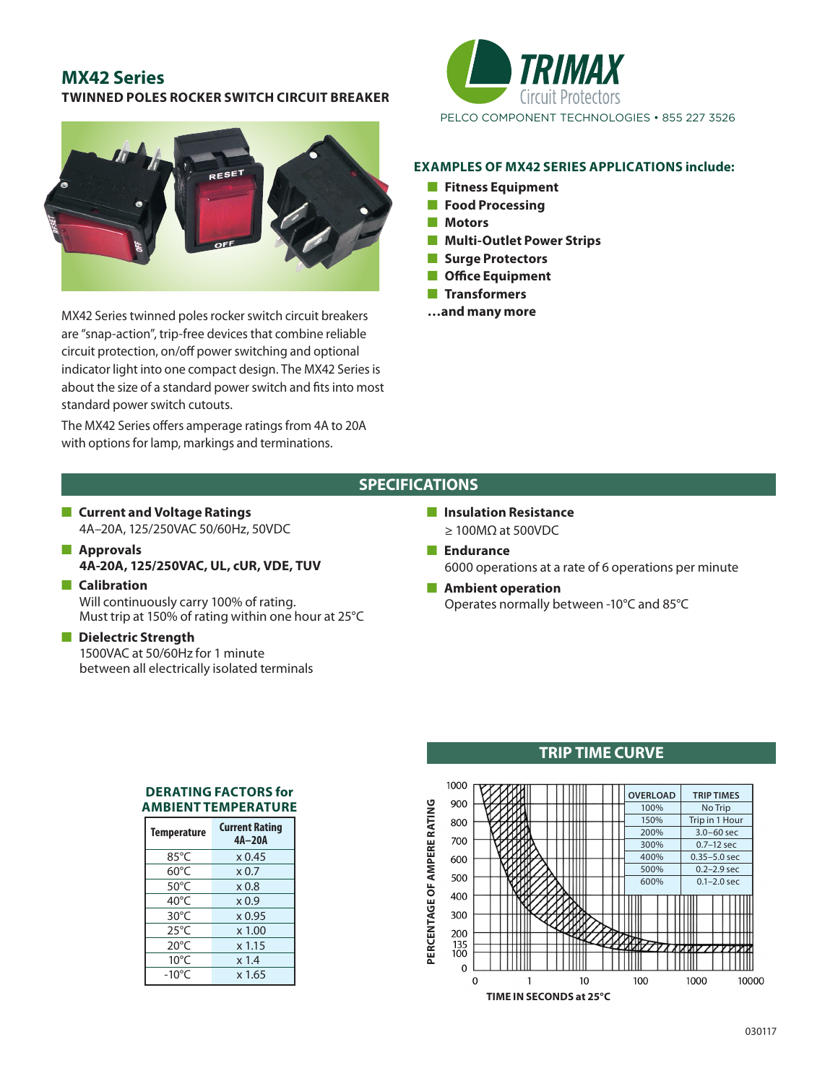## **MX42 Series TWINNED POLES ROCKER SWITCH CIRCUIT BREAKER**



MX42 Series twinned poles rocker switch circuit breakers are "snap-action", trip-free devices that combine reliable circuit protection, on/off power switching and optional indicator light into one compact design. The MX42 Series is about the size of a standard power switch and fits into most standard power switch cutouts.

The MX42 Series offers amperage ratings from 4A to 20A with options for lamp, markings and terminations.



#### **EXAMPLES OF MX42 SERIES APPLICATIONS include:**

- **n** Fitness Equipment
- **n** Food Processing
- **n** Motors
- **n** Multi-Outlet Power Strips
- **n** Surge Protectors
- **n** Office Equipment
- **n** Transformers
- **…and many more**

## **SPECIFICATIONS**

- **n** Current and Voltage Ratings 4A–20A, 125/250VAC 50/60Hz, 50VDC
- **n** Approvals **4A-20A, 125/250VAC, UL, cUR, VDE, TUV**
- **n** Calibration Will continuously carry 100% of rating. Must trip at 150% of rating within one hour at 25°C

## **n** Dielectric Strength

 1500VAC at 50/60Hz for 1 minute between all electrically isolated terminals

- **n** Insulation Resistance  $\geq$  100MΩ at 500VDC
- **n** Endurance 6000 operations at a rate of 6 operations per minute
- **n** Ambient operation Operates normally between -10°C and 85°C

#### **DERATING FACTORS for AMBIENT TEMPERATURE**

| <b>Temperature</b> | <b>Current Rating</b><br>4A-20A |
|--------------------|---------------------------------|
| 85°C               | x 0.45                          |
| $60^{\circ}$ C     | $\times 0.7$                    |
| $50^{\circ}$ C     | $\times 0.8$                    |
| 40 $^{\circ}$ C    | $\times 0.9$                    |
| $30^{\circ}$ C     | $x$ 0.95                        |
| $25^{\circ}$ C     | $x$ 1.00                        |
| $20^{\circ}$ C     | x 1.15                          |
| $10^{\circ}$ C     | x 1.4                           |
| $-10^{\circ}$ C    | x 1.65                          |

## **TRIP TIME CURVE**